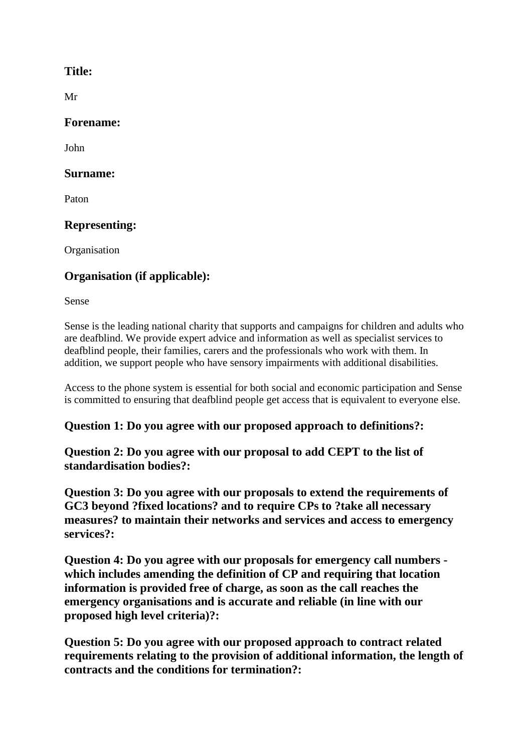### **Title:**

Mr

### **Forename:**

John

### **Surname:**

Paton

# **Representing:**

**Organisation** 

# **Organisation (if applicable):**

Sense

Sense is the leading national charity that supports and campaigns for children and adults who are deafblind. We provide expert advice and information as well as specialist services to deafblind people, their families, carers and the professionals who work with them. In addition, we support people who have sensory impairments with additional disabilities.

Access to the phone system is essential for both social and economic participation and Sense is committed to ensuring that deafblind people get access that is equivalent to everyone else.

### **Question 1: Do you agree with our proposed approach to definitions?:**

**Question 2: Do you agree with our proposal to add CEPT to the list of standardisation bodies?:**

**Question 3: Do you agree with our proposals to extend the requirements of GC3 beyond ?fixed locations? and to require CPs to ?take all necessary measures? to maintain their networks and services and access to emergency services?:**

**Question 4: Do you agree with our proposals for emergency call numbers which includes amending the definition of CP and requiring that location information is provided free of charge, as soon as the call reaches the emergency organisations and is accurate and reliable (in line with our proposed high level criteria)?:**

**Question 5: Do you agree with our proposed approach to contract related requirements relating to the provision of additional information, the length of contracts and the conditions for termination?:**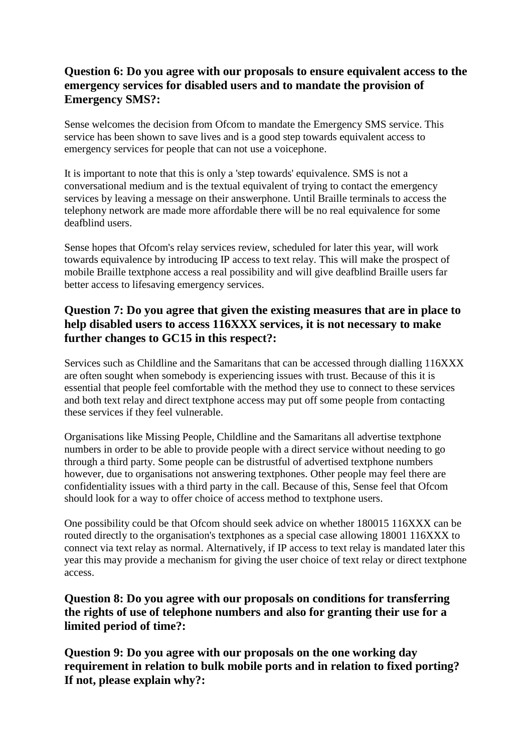### **Question 6: Do you agree with our proposals to ensure equivalent access to the emergency services for disabled users and to mandate the provision of Emergency SMS?:**

Sense welcomes the decision from Ofcom to mandate the Emergency SMS service. This service has been shown to save lives and is a good step towards equivalent access to emergency services for people that can not use a voicephone.

It is important to note that this is only a 'step towards' equivalence. SMS is not a conversational medium and is the textual equivalent of trying to contact the emergency services by leaving a message on their answerphone. Until Braille terminals to access the telephony network are made more affordable there will be no real equivalence for some deafblind users.

Sense hopes that Ofcom's relay services review, scheduled for later this year, will work towards equivalence by introducing IP access to text relay. This will make the prospect of mobile Braille textphone access a real possibility and will give deafblind Braille users far better access to lifesaving emergency services.

### **Question 7: Do you agree that given the existing measures that are in place to help disabled users to access 116XXX services, it is not necessary to make further changes to GC15 in this respect?:**

Services such as Childline and the Samaritans that can be accessed through dialling 116XXX are often sought when somebody is experiencing issues with trust. Because of this it is essential that people feel comfortable with the method they use to connect to these services and both text relay and direct textphone access may put off some people from contacting these services if they feel vulnerable.

Organisations like Missing People, Childline and the Samaritans all advertise textphone numbers in order to be able to provide people with a direct service without needing to go through a third party. Some people can be distrustful of advertised textphone numbers however, due to organisations not answering textphones. Other people may feel there are confidentiality issues with a third party in the call. Because of this, Sense feel that Ofcom should look for a way to offer choice of access method to textphone users.

One possibility could be that Ofcom should seek advice on whether 180015 116XXX can be routed directly to the organisation's textphones as a special case allowing 18001 116XXX to connect via text relay as normal. Alternatively, if IP access to text relay is mandated later this year this may provide a mechanism for giving the user choice of text relay or direct textphone access.

**Question 8: Do you agree with our proposals on conditions for transferring the rights of use of telephone numbers and also for granting their use for a limited period of time?:**

**Question 9: Do you agree with our proposals on the one working day requirement in relation to bulk mobile ports and in relation to fixed porting? If not, please explain why?:**